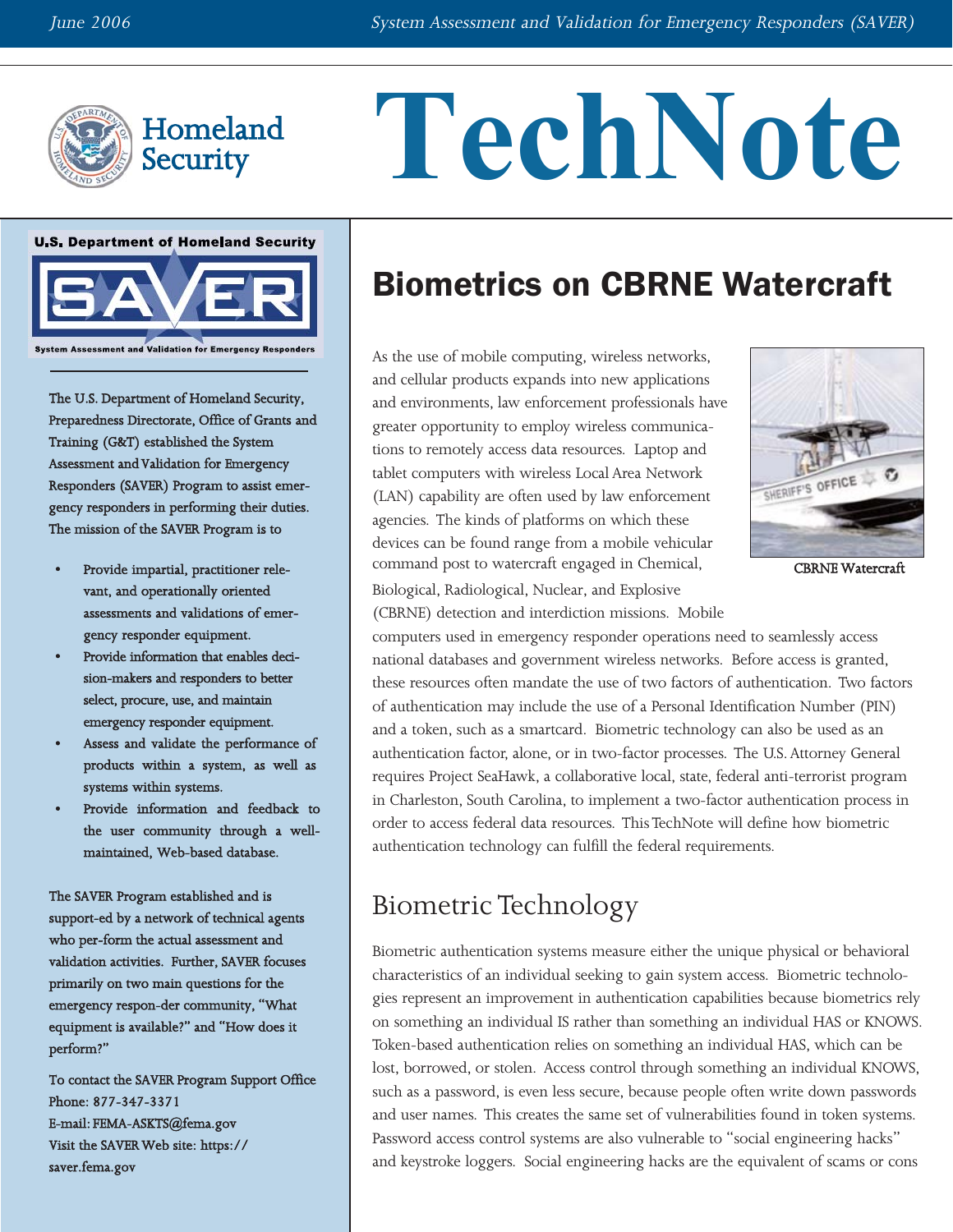

# TechNote



The U.S. Department of Homeland Security, Preparedness Directorate, Office of Grants and Training (G&T) established the System Assessment and Validation for Emergency Responders (SAVER) Program to assist emergency responders in performing their duties. The mission of the SAVER Program is to

- Provide impartial, practitioner relevant, and operationally oriented assessments and validations of emergency responder equipment.
- Provide information that enables decision-makers and responders to better select, procure, use, and maintain emergency responder equipment.
- Assess and validate the performance of products within a system, as well as systems within systems.
- Provide information and feedback to the user community through a wellmaintained, Web-based database.

The SAVER Program established and is support-ed by a network of technical agents who per-form the actual assessment and validation activities. Further, SAVER focuses primarily on two main questions for the emergency respon-der community, "What equipment is available?" and "How does it perform?"

To contact the SAVER Program Support Office Phone: 877-347-3371 E-mail: [FEMA-ASKTS@fema.gov](mailto:FEMA-ASKTS@fema.gov) Visit the SAVER Web site: [https://](https://saver.fema.gov) [saver.fema.gov](https://saver.fema.gov) 

## Biometrics on CBRNE Watercraft

As the use of mobile computing, wireless networks, and cellular products expands into new applications and environments, law enforcement professionals have greater opportunity to employ wireless communications to remotely access data resources. Laptop and tablet computers with wireless Local Area Network (LAN) capability are often used by law enforcement agencies. The kinds of platforms on which these devices can be found range from a mobile vehicular command post to watercraft engaged in Chemical, CBRNE Watercraft



Biological, Radiological, Nuclear, and Explosive (CBRNE) detection and interdiction missions. Mobile

computers used in emergency responder operations need to seamlessly access national databases and government wireless networks. Before access is granted, these resources often mandate the use of two factors of authentication. Two factors of authentication may include the use of a Personal Identification Number (PIN) and a token, such as a smartcard. Biometric technology can also be used as an authentication factor, alone, or in two-factor processes. The U.S. Attorney General requires Project SeaHawk, a collaborative local, state, federal anti-terrorist program in Charleston, South Carolina, to implement a two-factor authentication process in order to access federal data resources. This TechNote will define how biometric authentication technology can fulfill the federal requirements.

### Biometric Technology

Biometric authentication systems measure either the unique physical or behavioral characteristics of an individual seeking to gain system access. Biometric technologies represent an improvement in authentication capabilities because biometrics rely on something an individual IS rather than something an individual HAS or KNOWS. Token-based authentication relies on something an individual HAS, which can be lost, borrowed, or stolen. Access control through something an individual KNOWS, such as a password, is even less secure, because people often write down passwords and user names. This creates the same set of vulnerabilities found in token systems. Password access control systems are also vulnerable to "social engineering hacks" and keystroke loggers. Social engineering hacks are the equivalent of scams or cons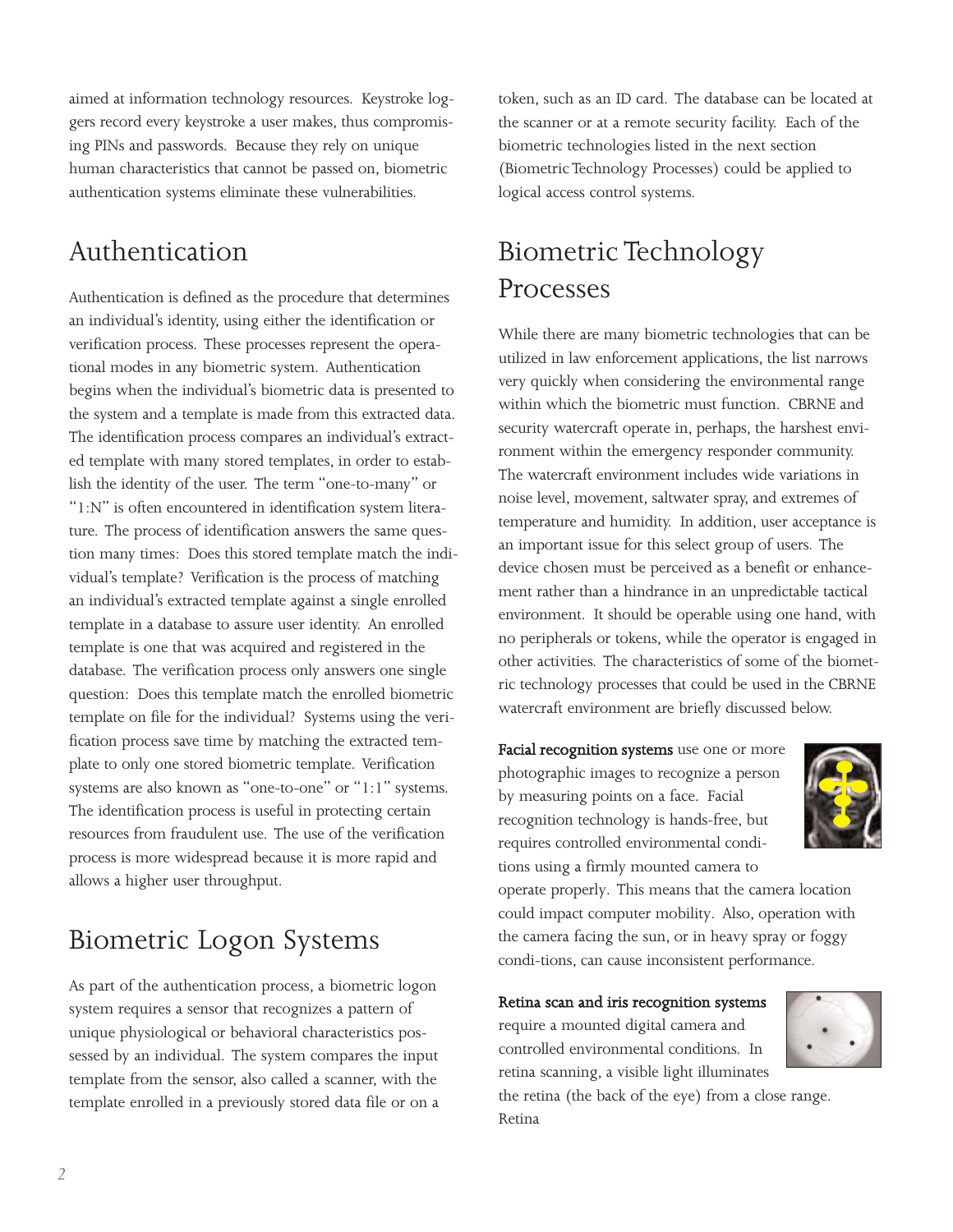aimed at information technology resources. Keystroke loggers record every keystroke a user makes, thus compromising PINs and passwords. Because they rely on unique human characteristics that cannot be passed on, biometric authentication systems eliminate these vulnerabilities.

## Authentication

Authentication is defined as the procedure that determines an individual's identity, using either the identification or verification process. These processes represent the operational modes in any biometric system. Authentication begins when the individual's biometric data is presented to the system and a template is made from this extracted data. The identification process compares an individual's extracted template with many stored templates, in order to establish the identity of the user. The term "one-to-many" or "1:N" is often encountered in identification system literature. The process of identification answers the same question many times: Does this stored template match the individual's template? Verification is the process of matching an individual's extracted template against a single enrolled template in a database to assure user identity. An enrolled template is one that was acquired and registered in the database. The verification process only answers one single question: Does this template match the enrolled biometric template on file for the individual? Systems using the verification process save time by matching the extracted template to only one stored biometric template. Verification systems are also known as "one-to-one" or "1:1" systems. The identification process is useful in protecting certain resources from fraudulent use. The use of the verification process is more widespread because it is more rapid and allows a higher user throughput.

## Biometric Logon Systems

As part of the authentication process, a biometric logon system requires a sensor that recognizes a pattern of unique physiological or behavioral characteristics possessed by an individual. The system compares the input template from the sensor, also called a scanner, with the template enrolled in a previously stored data file or on a token, such as an ID card. The database can be located at the scanner or at a remote security facility. Each of the biometric technologies listed in the next section (Biometric Technology Processes) could be applied to logical access control systems.

## Biometric Technology Processes

While there are many biometric technologies that can be utilized in law enforcement applications, the list narrows very quickly when considering the environmental range within which the biometric must function. CBRNE and security watercraft operate in, perhaps, the harshest environment within the emergency responder community. The watercraft environment includes wide variations in noise level, movement, saltwater spray, and extremes of temperature and humidity. In addition, user acceptance is an important issue for this select group of users. The device chosen must be perceived as a benefit or enhancement rather than a hindrance in an unpredictable tactical environment. It should be operable using one hand, with no peripherals or tokens, while the operator is engaged in other activities. The characteristics of some of the biometric technology processes that could be used in the CBRNE watercraft environment are briefly discussed below.

Facial recognition systems use one or more photographic images to recognize a person by measuring points on a face. Facial recognition technology is hands-free, but requires controlled environmental conditions using a firmly mounted camera to



operate properly. This means that the camera location could impact computer mobility. Also, operation with the camera facing the sun, or in heavy spray or foggy condi-tions, can cause inconsistent performance.

Retina scan and iris recognition systems

require a mounted digital camera and controlled environmental conditions. In retina scanning, a visible light illuminates

the retina (the back of the eye) from a close range. Retina

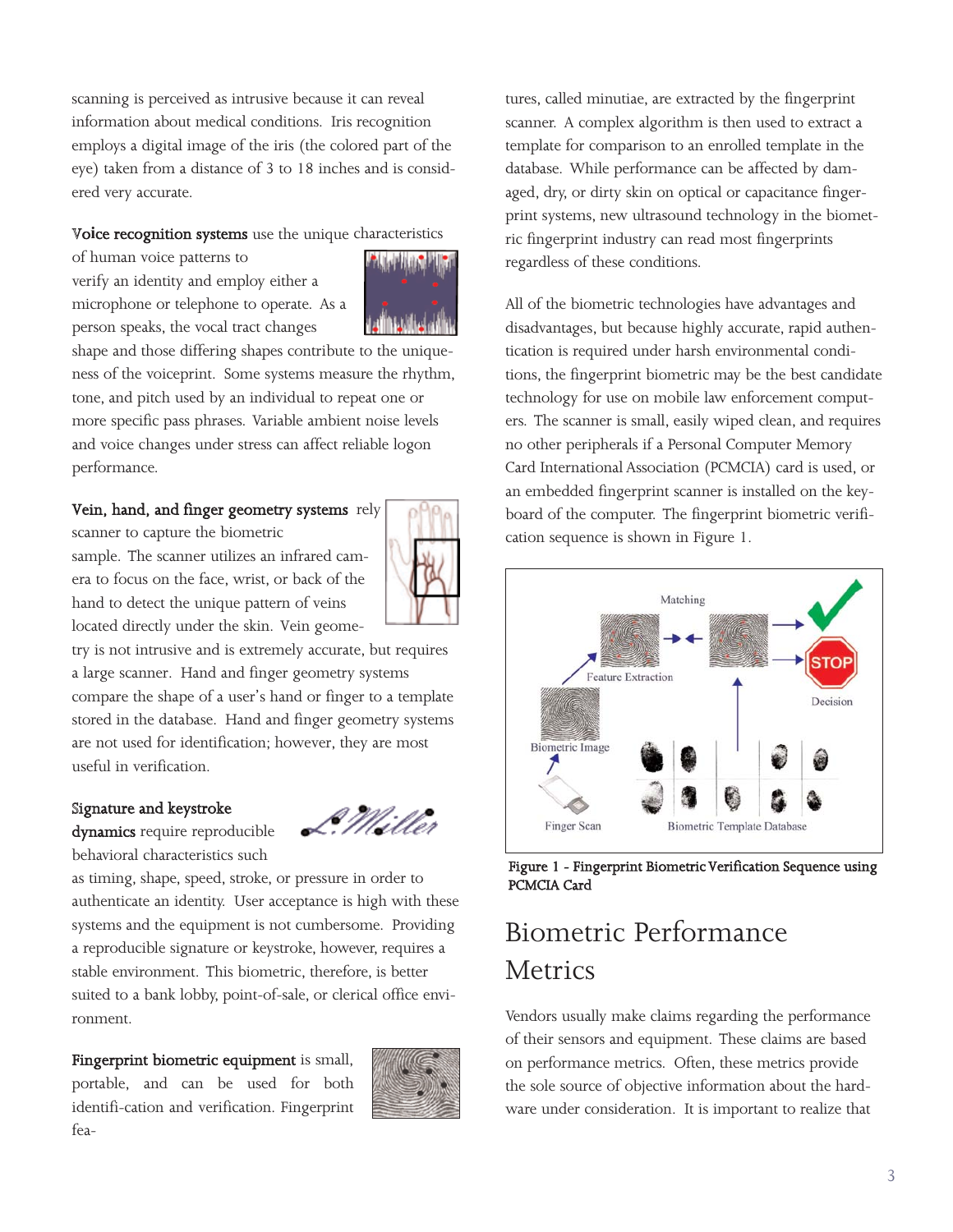scanning is perceived as intrusive because it can reveal information about medical conditions. Iris recognition employs a digital image of the iris (the colored part of the eye) taken from a distance of 3 to 18 inches and is considered very accurate.

#### Voice recognition systems use the unique characteristics

of human voice patterns to verify an identity and employ either a microphone or telephone to operate. As a person speaks, the vocal tract changes



shape and those differing shapes contribute to the uniqueness of the voiceprint. Some systems measure the rhythm, tone, and pitch used by an individual to repeat one or more specific pass phrases. Variable ambient noise levels and voice changes under stress can affect reliable logon performance.

#### Vein, hand, and finger geometry systems rely

scanner to capture the biometric sample. The scanner utilizes an infrared camera to focus on the face, wrist, or back of the hand to detect the unique pattern of veins located directly under the skin. Vein geome-



try is not intrusive and is extremely accurate, but requires a large scanner. Hand and finger geometry systems compare the shape of a user's hand or finger to a template stored in the database. Hand and finger geometry systems are not used for identification; however, they are most useful in verification.

#### Signature and keystroke

dynamics require reproducible behavioral characteristics such

as timing, shape, speed, stroke, or pressure in order to authenticate an identity. User acceptance is high with these systems and the equipment is not cumbersome. Providing a reproducible signature or keystroke, however, requires a stable environment. This biometric, therefore, is better suited to a bank lobby, point-of-sale, or clerical office environment.

Fingerprint biometric equipment is small, portable, and can be used for both identifi-cation and verification. Fingerprint fea-



L. Millet

tures, called minutiae, are extracted by the fingerprint scanner. A complex algorithm is then used to extract a template for comparison to an enrolled template in the database. While performance can be affected by damaged, dry, or dirty skin on optical or capacitance fingerprint systems, new ultrasound technology in the biometric fingerprint industry can read most fingerprints regardless of these conditions.

All of the biometric technologies have advantages and disadvantages, but because highly accurate, rapid authentication is required under harsh environmental conditions, the fingerprint biometric may be the best candidate technology for use on mobile law enforcement computers. The scanner is small, easily wiped clean, and requires no other peripherals if a Personal Computer Memory Card International Association (PCMCIA) card is used, or an embedded fingerprint scanner is installed on the keyboard of the computer. The fingerprint biometric verification sequence is shown in Figure 1.



Figure 1 - Fingerprint Biometric Verification Sequence using PCMCIA Card

## Biometric Performance Metrics

Vendors usually make claims regarding the performance of their sensors and equipment. These claims are based on performance metrics. Often, these metrics provide the sole source of objective information about the hardware under consideration. It is important to realize that